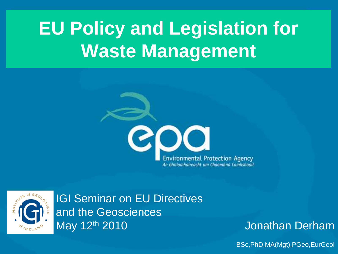# **EU Policy and Legislation for Waste Management**





IGI Seminar on EU Directives and the Geosciences May 12th 2010

Jonathan Derham

BSc,PhD,MA(Mgt),PGeo,EurGeol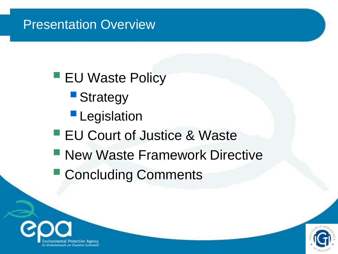#### Presentation Overview

- **EU Waste Policy** 
	- **Strategy**
	- **Legislation**
- **EU Court of Justice & Waste**
- **New Waste Framework Directive**
- **Concluding Comments**



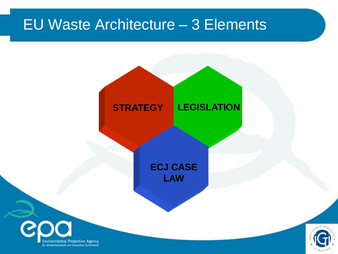## EU Waste Architecture – 3 Elements





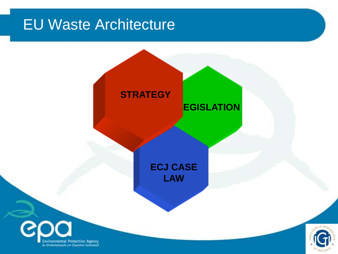### EU Waste Architecture



Environmental Protection Agency An Chrisonheireacht um Chasmhnú Controleon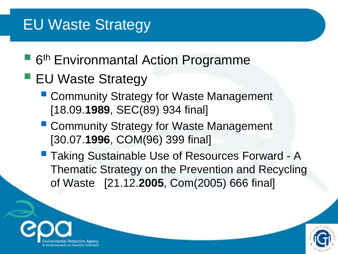### EU Waste Strategy

- 6<sup>th</sup> Environmantal Action Programme
- **EU Waste Strategy** 
	- Community Strategy for Waste Management [18.09.**1989**, SEC(89) 934 final]
	- **E** Community Strategy for Waste Management [30.07.**1996**, COM(96) 399 final]
	- **Taking Sustainable Use of Resources Forward A** Thematic Strategy on the Prevention and Recycling of Waste [21.12.**2005**, Com(2005) 666 final]



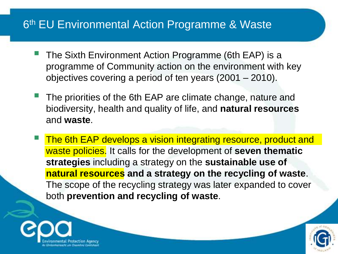#### 6<sup>th</sup> EU Environmental Action Programme & Waste

- The Sixth Environment Action Programme (6th EAP) is a programme of Community action on the environment with key objectives covering a period of ten years (2001 – 2010).
- The priorities of the 6th EAP are climate change, nature and biodiversity, health and quality of life, and **natural resources** and **waste**.
- The 6th EAP develops a vision integrating resource, product and waste policies. It calls for the development of **seven thematic strategies** including a strategy on the **sustainable use of natural resources and a strategy on the recycling of waste**. The scope of the recycling strategy was later expanded to cover both **prevention and recycling of waste**.



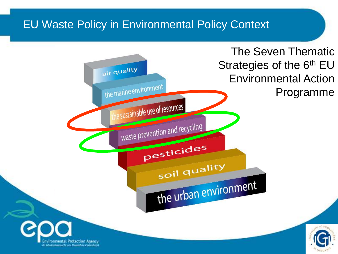#### EU Waste Policy in Environmental Policy Context

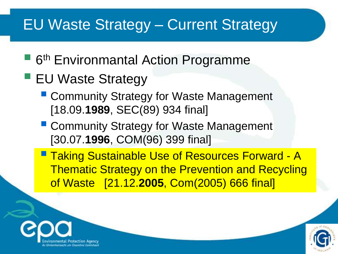### EU Waste Strategy – Current Strategy

- 6<sup>th</sup> Environmantal Action Programme
- EU Waste Strategy
	- Community Strategy for Waste Management [18.09.**1989**, SEC(89) 934 final]
	- **E** Community Strategy for Waste Management [30.07.**1996**, COM(96) 399 final]
	- **Taking Sustainable Use of Resources Forward A** Thematic Strategy on the Prevention and Recycling of Waste [21.12.**2005**, Com(2005) 666 final]



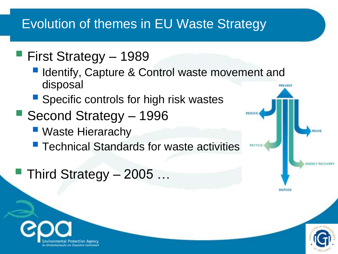#### Evolution of themes in EU Waste Strategy

#### First Strategy – <sup>1989</sup>

- **I** Identify, Capture & Control waste movement and disposal
- **Specific controls for high risk wastes**
- Second Strategy <sup>1996</sup>
	- Waste Hierarachy
	- Technical Standards for waste activities
- Third Strategy 2005 …





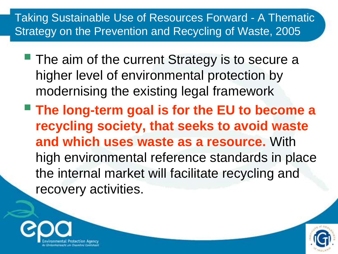#### Taking Sustainable Use of Resources Forward - A Thematic Strategy on the Prevention and Recycling of Waste, 2005

- **The aim of the current Strategy is to secure a** higher level of environmental protection by modernising the existing legal framework
- **The long-term goal is for the EU to become a recycling society, that seeks to avoid waste and which uses waste as a resource.** With high environmental reference standards in place the internal market will facilitate recycling and recovery activities.



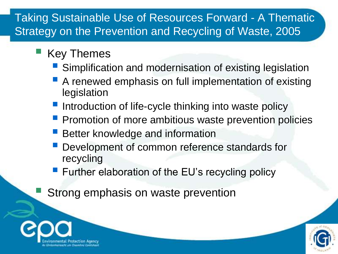#### Taking Sustainable Use of Resources Forward - A Thematic Strategy on the Prevention and Recycling of Waste, 2005

- Key Themes
	- Simplification and modernisation of existing legislation
	- A renewed emphasis on full implementation of existing legislation
	- Introduction of life-cycle thinking into waste policy
	- Promotion of more ambitious waste prevention policies
	- Better knowledge and information
	- Development of common reference standards for recycling
	- **Further elaboration of the EU's recycling policy**
	- Strong emphasis on waste prevention



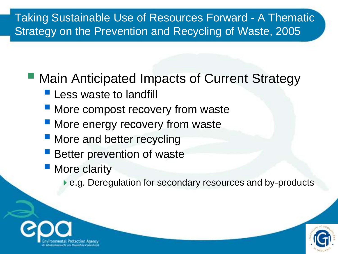#### Taking Sustainable Use of Resources Forward - A Thematic Strategy on the Prevention and Recycling of Waste, 2005

#### ■ Main Anticipated Impacts of Current Strategy

- **Less waste to landfill**
- **More compost recovery from waste**
- More energy recovery from waste
- **More and better recycling**
- Better prevention of waste
- More clarity
	- ▶ e.g. Deregulation for secondary resources and by-products



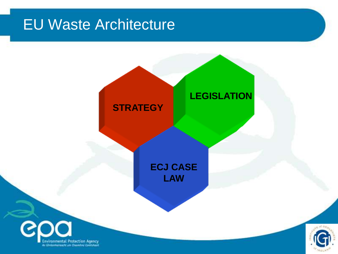### EU Waste Architecture

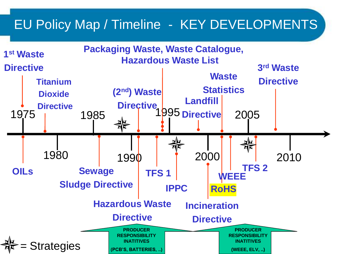#### EU Policy Map / Timeline - KEY DEVELOPMENTS

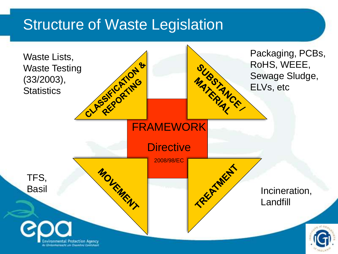#### **Structure of Waste Legislation**

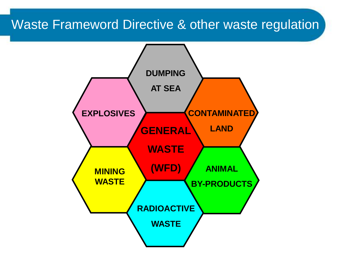#### Waste Frameword Directive & other waste regulation

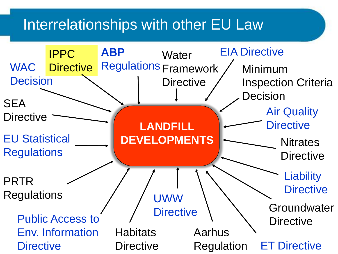#### Interrelationships with other EU Law

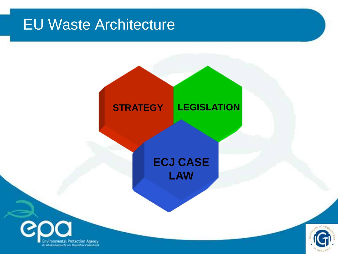### EU Waste Architecture



#### **ECJ CASE LAW LAWECJ CASE**



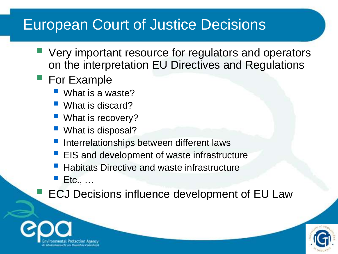### European Court of Justice Decisions

- Very important resource for regulators and operators on the interpretation EU Directives and Regulations
- **For Example** 
	- What is a waste?
	- What is discard?
	- **What is recovery?**
	- What is disposal?
	- Interrelationships between different laws
	- **EIS and development of waste infrastructure**
	- Habitats Directive and waste infrastructure
	- Etc., …
	- ECJ Decisions influence development of EU Law



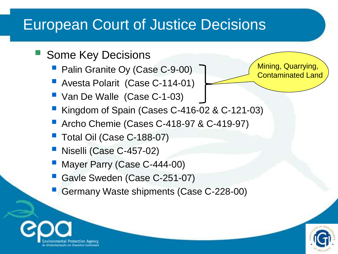### European Court of Justice Decisions

- Some Key Decisions
	- Palin Granite Oy (Case C-9-00)
	- **Avesta Polarit (Case C-114-01)**
	- Van De Walle (Case C-1-03)
	- Kingdom of Spain (Cases C-416-02 & C-121-03)
	- **Archo Chemie (Cases C-418-97 & C-419-97)**
	- Total Oil (Case C-188-07)
	- Niselli (Case C-457-02)

a Chrisonnavoicht um Chusa

- Mayer Parry (Case C-444-00)
- Gavle Sweden (Case C-251-07)
- Germany Waste shipments (Case C-228-00)



Mining, Quarrying, Contaminated Land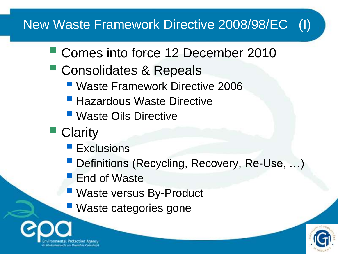#### New Waste Framework Directive 2008/98/EC (I)

- Comes into force 12 December 2010
- **Consolidates & Repeals** 
	- Waste Framework Directive 2006
	- **Hazardous Waste Directive**
	- Waste Oils Directive
- Clarity
	- **Exclusions**
	- Definitions (Recycling, Recovery, Re-Use, ...)
	- **End of Waste**
	- Waste versus By-Product
	- **Waste categories gone**



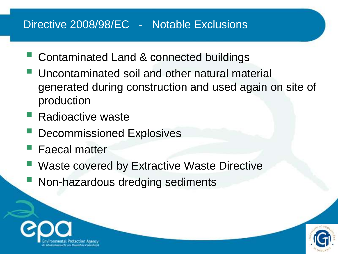#### Directive 2008/98/EC - Notable Exclusions

- Contaminated Land & connected buildings
- Uncontaminated soil and other natural material generated during construction and used again on site of production
- Radioactive waste
- Decommissioned Explosives
- Faecal matter
- Waste covered by Extractive Waste Directive
- Non-hazardous dredging sediments



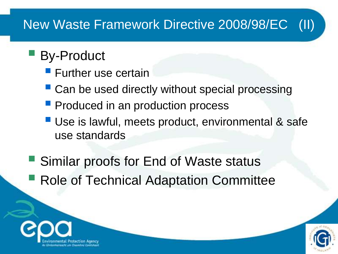#### New Waste Framework Directive 2008/98/EC (II)

#### By-Product

- **Further use certain**
- Can be used directly without special processing
- **Peroduced in an production process**
- Use is lawful, meets product, environmental & safe use standards
- Similar proofs for End of Waste status **Role of Technical Adaptation Committee**



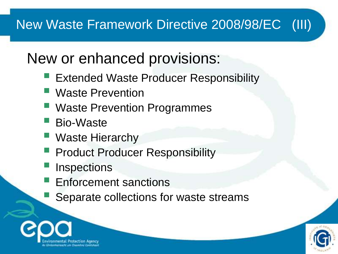#### New Waste Framework Directive 2008/98/EC (III)

### New or enhanced provisions:

- Extended Waste Producer Responsibility
- Waste Prevention
- Waste Prevention Programmes
- Bio-Waste
- Waste Hierarchy
- Product Producer Responsibility
- **Inspections**
- Enforcement sanctions
- Separate collections for waste streams



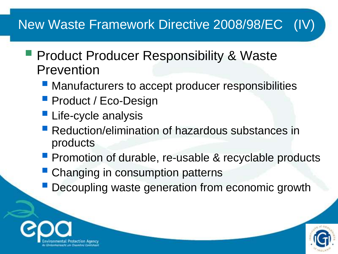#### New Waste Framework Directive 2008/98/EC (IV)

- **Product Producer Responsibility & Waste** Prevention
	- **Manufacturers to accept producer responsibilities**
	- **Product / Eco-Design**
	- **Life-cycle analysis**
	- **Reduction/elimination of hazardous substances in** products
	- **Promotion of durable, re-usable & recyclable products**
	- **Changing in consumption patterns**
	- Decoupling waste generation from economic growth



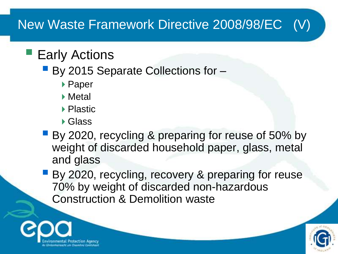#### New Waste Framework Directive 2008/98/EC (V)

#### **Early Actions**

- By 2015 Separate Collections for -
	- ▶ Paper
	- ▶ Metal
	- ▶ Plastic
	- ▶ Glass
- By 2020, recycling & preparing for reuse of 50% by weight of discarded household paper, glass, metal and glass
- By 2020, recycling, recovery & preparing for reuse 70% by weight of discarded non-hazardous Construction & Demolition waste



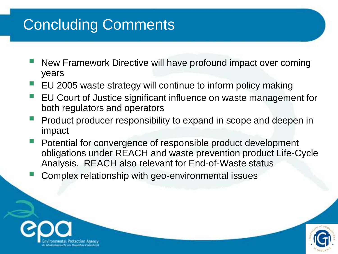## Concluding Comments

- New Framework Directive will have profound impact over coming years
- EU 2005 waste strategy will continue to inform policy making
- EU Court of Justice significant influence on waste management for both regulators and operators
- Product producer responsibility to expand in scope and deepen in impact
- Potential for convergence of responsible product development obligations under REACH and waste prevention product Life-Cycle Analysis. REACH also relevant for End-of-Waste status
- Complex relationship with geo-environmental issues